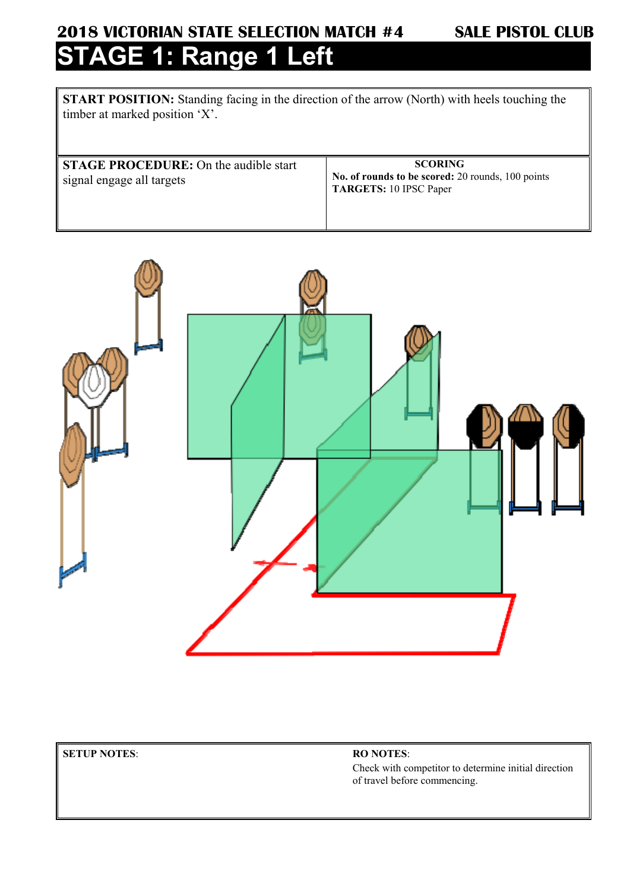# **2018 VICTORIAN STATE SELECTION MATCH #4 SALE PISTOL CLUB STAGE 1: Range 1 Left**

**START POSITION:** Standing facing in the direction of the arrow (North) with heels touching the timber at marked position 'X'.

**STAGE PROCEDURE:** On the audible start signal engage all targets

 **SCORING No. of rounds to be scored:** 20 rounds, 100 points **TARGETS:** 10 IPSC Paper



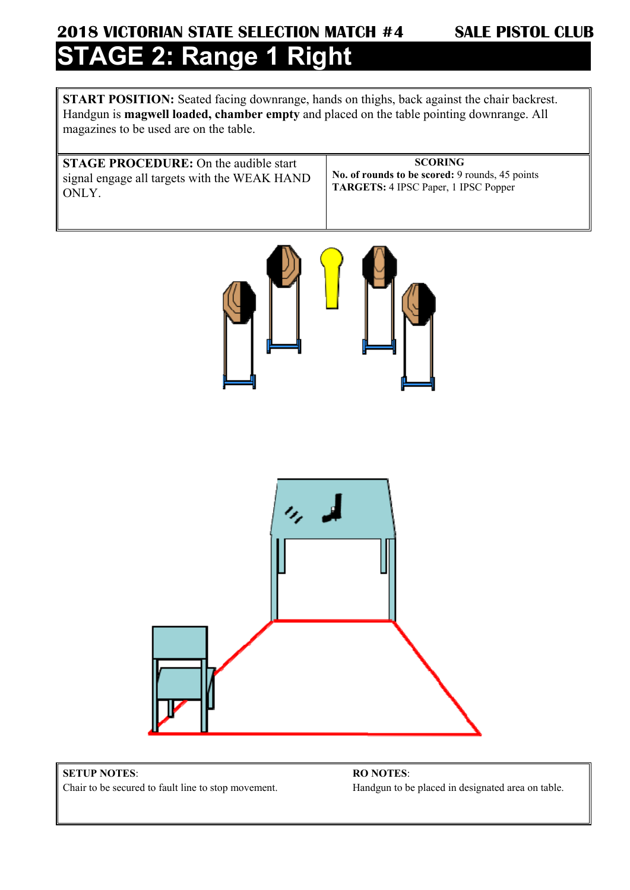## **2018 VICTORIAN STATE SELECTION MATCH #4 SALE PISTOL CLUB AGE 2: Range 1 Right**

**START POSITION:** Seated facing downrange, hands on thighs, back against the chair backrest. Handgun is **magwell loaded, chamber empty** and placed on the table pointing downrange. All magazines to be used are on the table.

**STAGE PROCEDURE:** On the audible start signal engage all targets with the WEAK HAND ONLY.

 **SCORING No. of rounds to be scored:** 9 rounds, 45 points **TARGETS:** 4 IPSC Paper, 1 IPSC Popper





### **SETUP NOTES**:

Chair to be secured to fault line to stop movement.

**RO NOTES**: Handgun to be placed in designated area on table.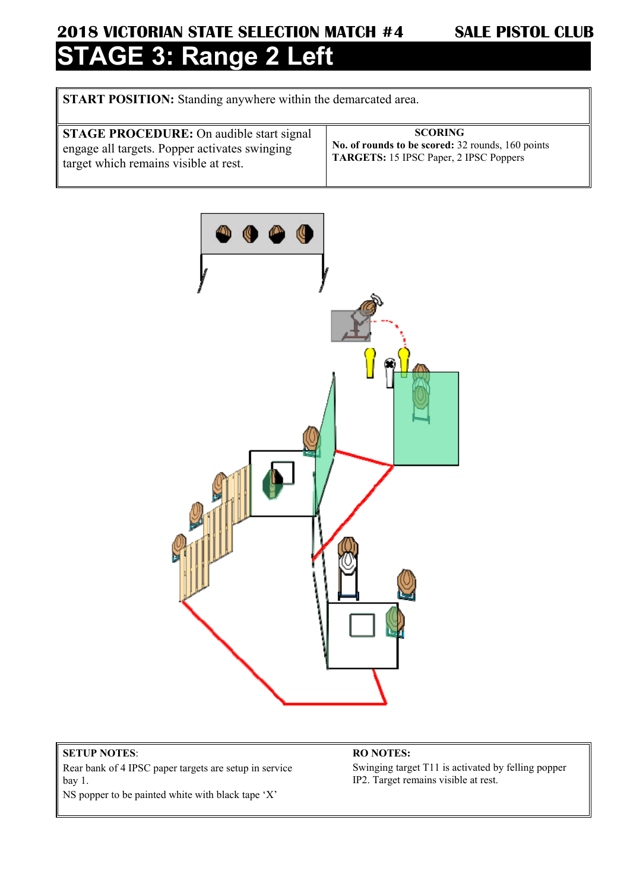## **2018 VICTORIAN STATE SELECTION MATCH #4 SALE PISTOL CLUB GE 3: Range 2 Left**

**START POSITION:** Standing anywhere within the demarcated area.

| <b>STAGE PROCEDURE:</b> On audible start signal<br>engage all targets. Popper activates swinging | <b>SCORING</b><br>No. of rounds to be scored: 32 rounds, 160 points<br><b>TARGETS:</b> 15 IPSC Paper, 2 IPSC Poppers |
|--------------------------------------------------------------------------------------------------|----------------------------------------------------------------------------------------------------------------------|
| target which remains visible at rest.                                                            |                                                                                                                      |



### **SETUP NOTES**:

Rear bank of 4 IPSC paper targets are setup in service bay 1.

NS popper to be painted white with black tape 'X'

### **RO NOTES:**

Swinging target T11 is activated by felling popper IP2. Target remains visible at rest.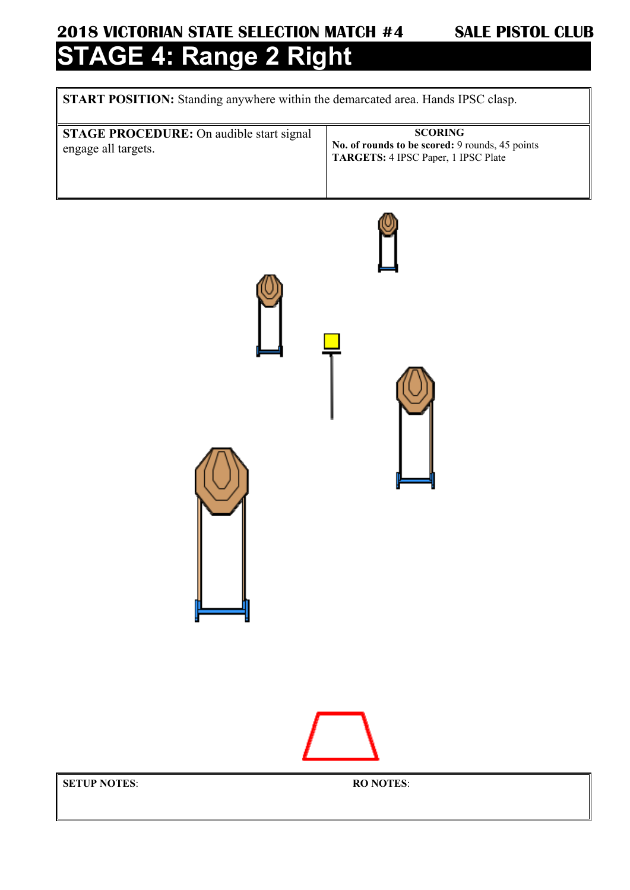## **2018 VICTORIAN STATE SELECTION MATCH #4 SALE PISTOL CLUB AGE 4: Range 2 Right**

**START POSITION:** Standing anywhere within the demarcated area. Hands IPSC clasp.

**STAGE PROCEDURE:** On audible start signal engage all targets.  **SCORING No. of rounds to be scored:** 9 rounds, 45 points **TARGETS:** 4 IPSC Paper, 1 IPSC Plate

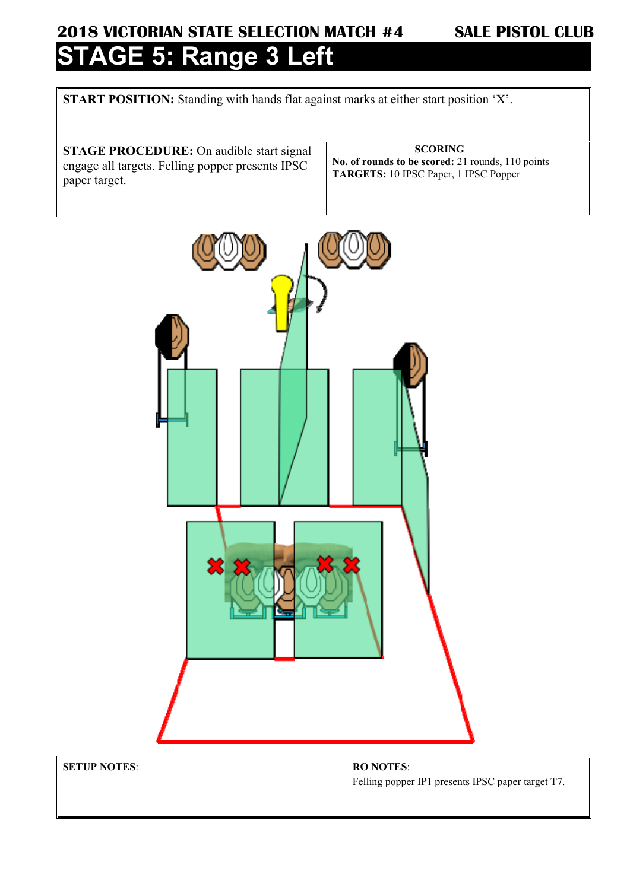### **2018 VICTORIAN STATE SELECTION MATCH #4 SALE PISTOL CLUB AGE 5: Range 3 Left**

**START POSITION:** Standing with hands flat against marks at either start position 'X'.

**STAGE PROCEDURE:** On audible start signal engage all targets. Felling popper presents IPSC paper target.

 **SCORING No. of rounds to be scored:** 21 rounds, 110 points **TARGETS:** 10 IPSC Paper, 1 IPSC Popper



**SETUP NOTES**: **RO NOTES**:

Felling popper IP1 presents IPSC paper target T7.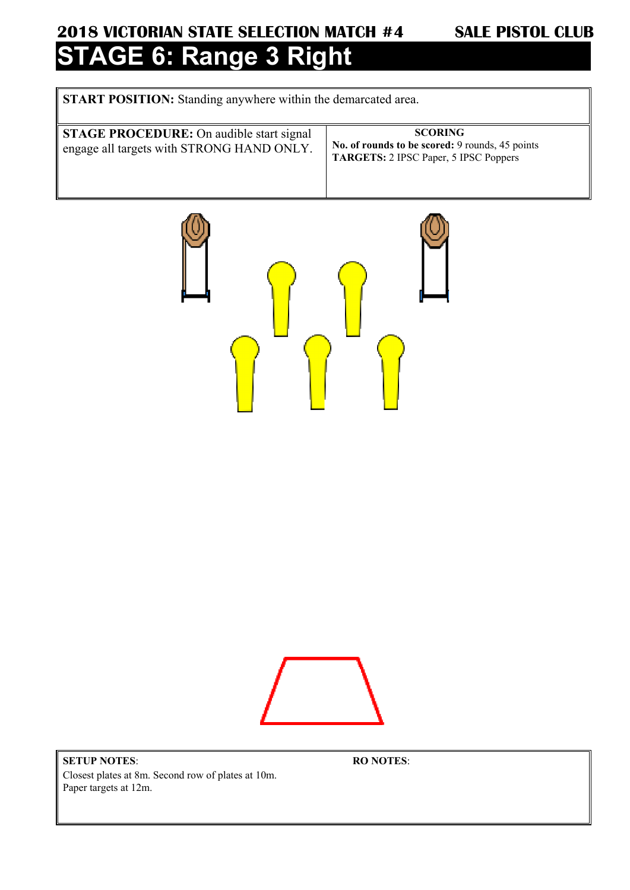### **2018 VICTORIAN STATE SELECTION MATCH #4 SALE PISTOL CLUB GE 6: Range 3 Right**

**START POSITION:** Standing anywhere within the demarcated area.

**STAGE PROCEDURE:** On audible start signal engage all targets with STRONG HAND ONLY.

 **SCORING No. of rounds to be scored:** 9 rounds, 45 points **TARGETS:** 2 IPSC Paper, 5 IPSC Poppers





**SETUP NOTES**: Closest plates at 8m. Second row of plates at 10m. Paper targets at 12m.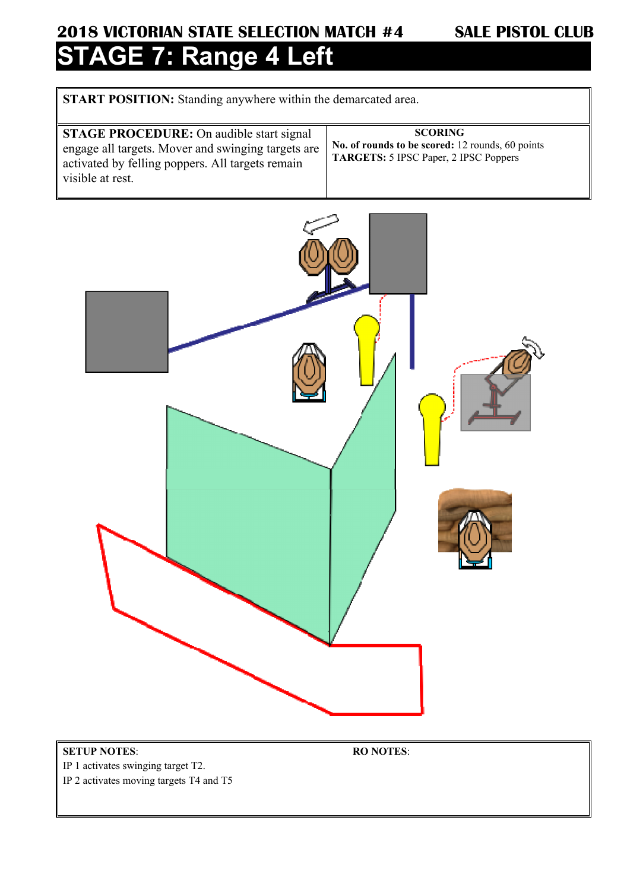# **2018 VICTORIAN STATE SELECTION MATCH #4 SALE PISTOL CLUB STAGE 7: Range 4 Left**

**START POSITION:** Standing anywhere within the demarcated area.

| visible at rest. | <b>STAGE PROCEDURE:</b> On audible start signal<br>engage all targets. Mover and swinging targets are<br>activated by felling poppers. All targets remain | <b>SCORING</b><br>No. of rounds to be scored: 12 rounds, 60 points<br><b>TARGETS:</b> 5 IPSC Paper, 2 IPSC Poppers |
|------------------|-----------------------------------------------------------------------------------------------------------------------------------------------------------|--------------------------------------------------------------------------------------------------------------------|
|------------------|-----------------------------------------------------------------------------------------------------------------------------------------------------------|--------------------------------------------------------------------------------------------------------------------|



**SETUP NOTES**:

IP 1 activates swinging target T2.

IP 2 activates moving targets T4 and T5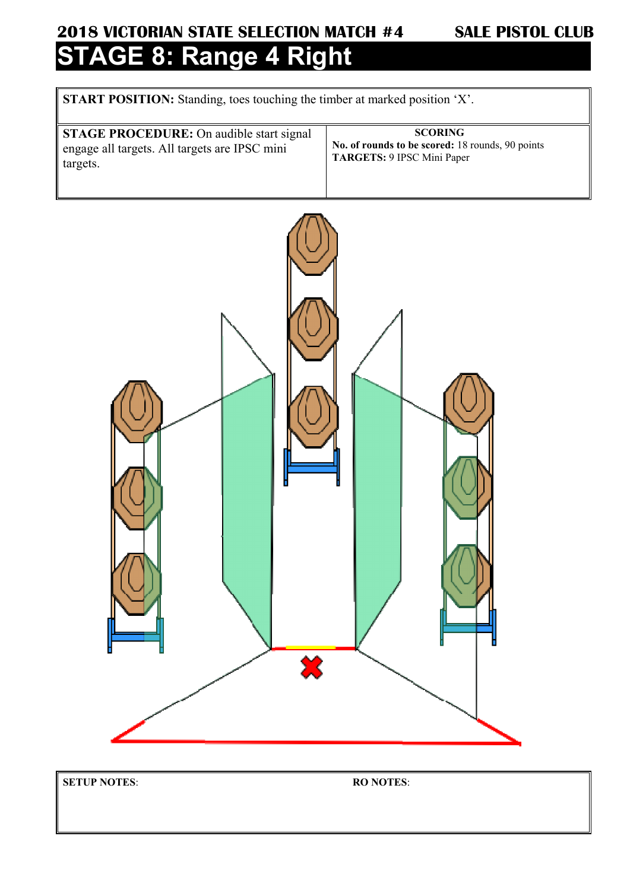## **2018 VICTORIAN STATE SELECTION MATCH #4 SALE PISTOL CLUB AGE 8: Range 4 Right**

**START POSITION:** Standing, toes touching the timber at marked position 'X'.

| <b>STAGE PROCEDURE:</b> On audible start signal | <b>SCORING</b>                                   |
|-------------------------------------------------|--------------------------------------------------|
| engage all targets. All targets are IPSC mini   | No. of rounds to be scored: 18 rounds, 90 points |
| targets.                                        | TARGETS: 9 IPSC Mini Paper                       |



**SETUP NOTES**: **RO NOTES**: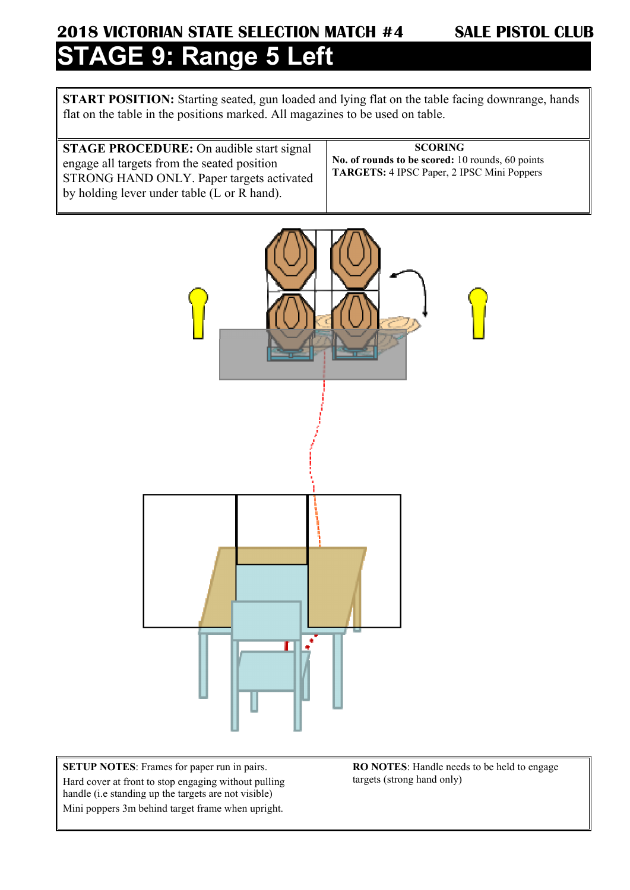### **2018 VICTORIAN STATE SELECTION MATCH #4 SALE PISTOL CLUB SGE 9: Range 5 Left**

**START POSITION:** Starting seated, gun loaded and lying flat on the table facing downrange, hands flat on the table in the positions marked. All magazines to be used on table.

**STAGE PROCEDURE:** On audible start signal engage all targets from the seated position STRONG HAND ONLY. Paper targets activated by holding lever under table (L or R hand).

 **SCORING No. of rounds to be scored:** 10 rounds, 60 points **TARGETS:** 4 IPSC Paper, 2 IPSC Mini Poppers



**SETUP NOTES**: Frames for paper run in pairs. Hard cover at front to stop engaging without pulling handle (i.e standing up the targets are not visible) Mini poppers 3m behind target frame when upright.

**RO NOTES**: Handle needs to be held to engage targets (strong hand only)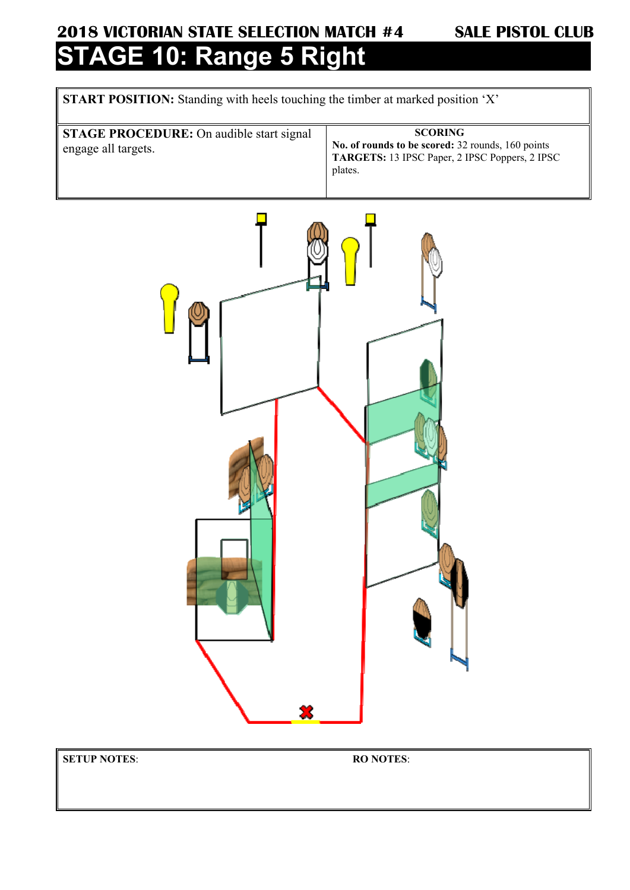## **2018 VICTORIAN STATE SELECTION MATCH #4 SALE PISTOL CLUB AGE 10: Range 5 Right**

**START POSITION:** Standing with heels touching the timber at marked position 'X'

**STAGE PROCEDURE:** On audible start signal engage all targets.

### **SCORING**

**No. of rounds to be scored:** 32 rounds, 160 points **TARGETS:** 13 IPSC Paper, 2 IPSC Poppers, 2 IPSC plates.



**SETUP NOTES**: **RO NOTES**: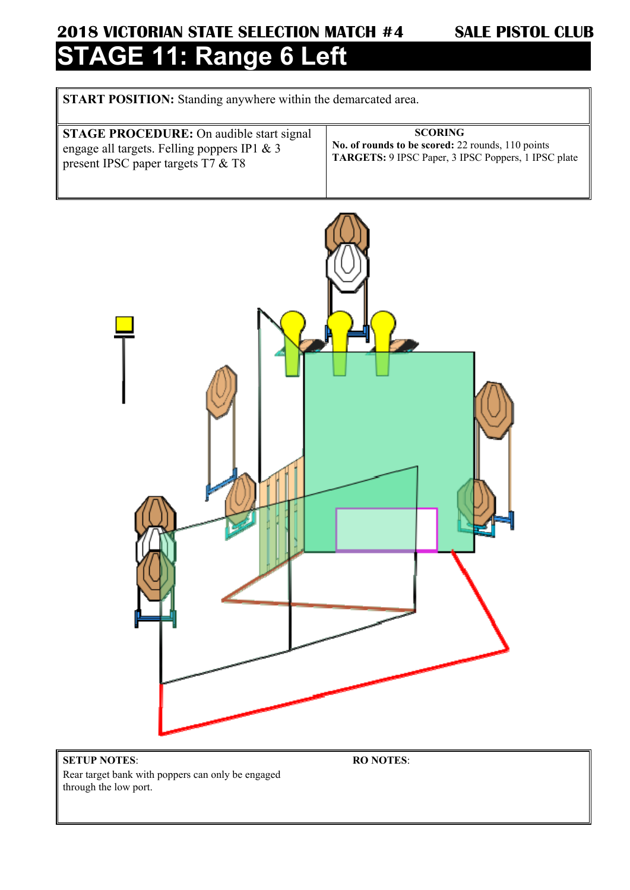### **2018 VICTORIAN STATE SELECTION MATCH #4 SALE PISTOL CLUB STAGE 11: Range 6 Left**

**START POSITION:** Standing anywhere within the demarcated area.

| <b>STAGE PROCEDURE:</b> On audible start signal | <b>SCORING</b>                                      |
|-------------------------------------------------|-----------------------------------------------------|
| engage all targets. Felling poppers IP1 & 3     | No. of rounds to be scored: 22 rounds, 110 points   |
| present IPSC paper targets $T7 \& T8$           | TARGETS: 9 IPSC Paper, 3 IPSC Poppers, 1 IPSC plate |
|                                                 |                                                     |



### **SETUP NOTES**: Rear target bank with poppers can only be engaged through the low port.